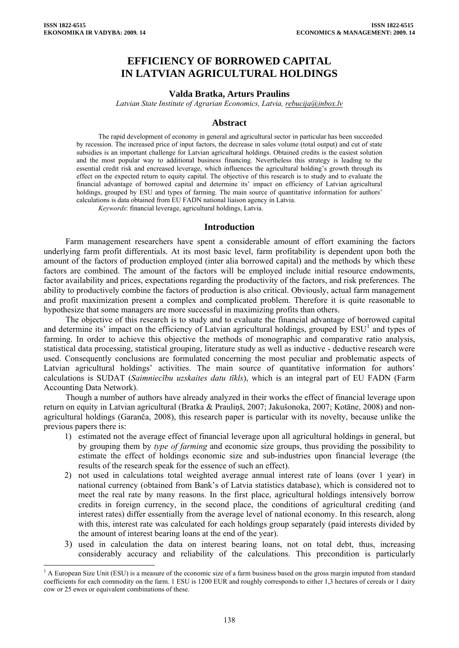$\overline{a}$ 

# **EFFICIENCY OF BORROWED CAPITAL IN LATVIAN AGRICULTURAL HOLDINGS**

#### **Valda Bratka, Arturs Praulins**

*Latvian State Institute of Agrarian Economics, Latvia, rebucija@inbox.lv*

#### **Abstract**

The rapid development of economy in general and agricultural sector in particular has been succeeded by recession. The increased price of input factors, the decrease in sales volume (total output) and cut of state subsidies is an important challenge for Latvian agricultural holdings. Obtained credits is the easiest solution and the most popular way to additional business financing. Nevertheless this strategy is leading to the essential credit risk and encreased leverage, which influences the agricultural holding's growth through its effect on the expected return to equity capital. The objective of this research is to study and to evaluate the financial advantage of borrowed capital and determine its' impact on efficiency of Latvian agricultural holdings, grouped by ESU and types of farming. The main source of quantitative information for authors' calculations is data obtained from EU FADN national liaison agency in Latvia.

*Keywords*: financial leverage, agricultural holdings, Latvia.

#### **Introduction**

Farm management researchers have spent a considerable amount of effort examining the factors underlying farm profit differentials. At its most basic level, farm profitability is dependent upon both the amount of the factors of production employed (inter alia borrowed capital) and the methods by which these factors are combined. The amount of the factors will be employed include initial resource endowments, factor availability and prices, expectations regarding the productivity of the factors, and risk preferences. The ability to productively combine the factors of production is also critical. Obviously, actual farm management and profit maximization present a complex and complicated problem. Therefore it is quite reasonable to hypothesize that some managers are more successful in maximizing profits than others.

The objective of this research is to study and to evaluate the financial advantage of borrowed capital and determine its' impact on the efficiency of Latvian agricultural holdings, grouped by  $ESU<sup>1</sup>$  $ESU<sup>1</sup>$  $ESU<sup>1</sup>$  and types of farming. In order to achieve this objective the methods of monographic and comparative ratio analysis, statistical data processing, statistical grouping, literature study as well as inductive - deductive research were used. Consequently conclusions are formulated concerning the most peculiar and problematic aspects of Latvian agricultural holdings' activities. The main source of quantitative information for authors' calculations is SUDAT (*Saimniecību uzskaites datu tīkls*), which is an integral part of EU FADN (Farm Accounting Data Network).

Though a number of authors have already analyzed in their works the effect of financial leverage upon return on equity in Latvian agricultural (Bratka & Prauliņš, 2007; Jakušonoka, 2007; Kotāne, 2008) and nonagricultural holdings (Garanča, 2008), this research paper is particular with its novelty, because unlike the previous papers there is:

- 1) estimated not the average effect of financial leverage upon all agricultural holdings in general, but by grouping them by *type of farming* and economic size groups, thus providing the possibility to estimate the effect of holdings economic size and sub-industries upon financial leverage (the results of the research speak for the essence of such an effect).
- 2) not used in calculations total weighted average annual interest rate of loans (over 1 year) in national currency (obtained from Bank's of Latvia statistics database), which is considered not to meet the real rate by many reasons. In the first place, agricultural holdings intensively borrow credits in foreign currency, in the second place, the conditions of agricultural crediting (and interest rates) differ essentially from the average level of national economy. In this research, along with this, interest rate was calculated for each holdings group separately (paid interests divided by the amount of interest bearing loans at the end of the year).
- 3) used in calculation the data on interest bearing loans, not on total debt, thus, increasing considerably accuracy and reliability of the calculations. This precondition is particularly

<span id="page-0-0"></span><sup>&</sup>lt;sup>1</sup> A European Size Unit (ESU) is a measure of the economic size of a farm business based on the gross margin imputed from standard coefficients for each commodity on the farm. 1 ESU is 1200 EUR and roughly corresponds to either 1,3 hectares of cereals or 1 dairy cow or 25 ewes or equivalent combinations of these.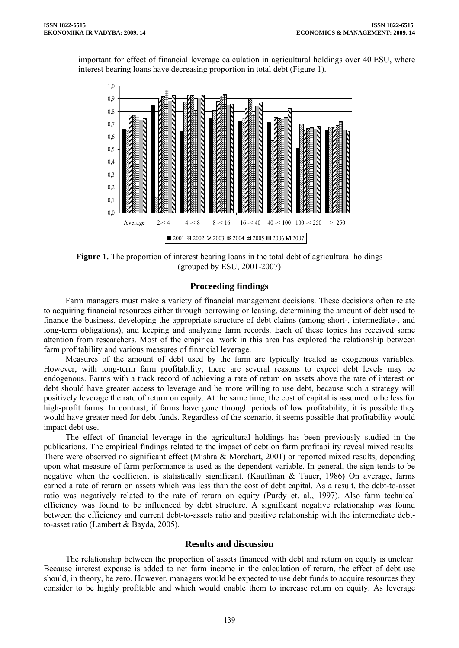important for effect of financial leverage calculation in agricultural holdings over 40 ESU, where interest bearing loans have decreasing proportion in total debt (Figure 1).



**Figure 1.** The proportion of interest bearing loans in the total debt of agricultural holdings (grouped by ESU, 2001-2007)

# **Proceeding findings**

Farm managers must make a variety of financial management decisions. These decisions often relate to acquiring financial resources either through borrowing or leasing, determining the amount of debt used to finance the business, developing the appropriate structure of debt claims (among short-, intermediate-, and long-term obligations), and keeping and analyzing farm records. Each of these topics has received some attention from researchers. Most of the empirical work in this area has explored the relationship between farm profitability and various measures of financial leverage.

Measures of the amount of debt used by the farm are typically treated as exogenous variables. However, with long-term farm profitability, there are several reasons to expect debt levels may be endogenous. Farms with a track record of achieving a rate of return on assets above the rate of interest on debt should have greater access to leverage and be more willing to use debt, because such a strategy will positively leverage the rate of return on equity. At the same time, the cost of capital is assumed to be less for high-profit farms. In contrast, if farms have gone through periods of low profitability, it is possible they would have greater need for debt funds. Regardless of the scenario, it seems possible that profitability would impact debt use.

The effect of financial leverage in the agricultural holdings has been previously studied in the publications. The empirical findings related to the impact of debt on farm profitability reveal mixed results. There were observed no significant effect (Mishra & Morehart, 2001) or reported mixed results, depending upon what measure of farm performance is used as the dependent variable. In general, the sign tends to be negative when the coefficient is statistically significant. (Kauffman & Tauer, 1986) On average, farms earned a rate of return on assets which was less than the cost of debt capital. As a result, the debt-to-asset ratio was negatively related to the rate of return on equity (Purdy et. al., 1997). Also farm technical efficiency was found to be influenced by debt structure. A significant negative relationship was found between the efficiency and current debt-to-assets ratio and positive relationship with the intermediate debtto-asset ratio (Lambert & Bayda, 2005).

## **Results and discussion**

The relationship between the proportion of assets financed with debt and return on equity is unclear. Because interest expense is added to net farm income in the calculation of return, the effect of debt use should, in theory, be zero. However, managers would be expected to use debt funds to acquire resources they consider to be highly profitable and which would enable them to increase return on equity. As leverage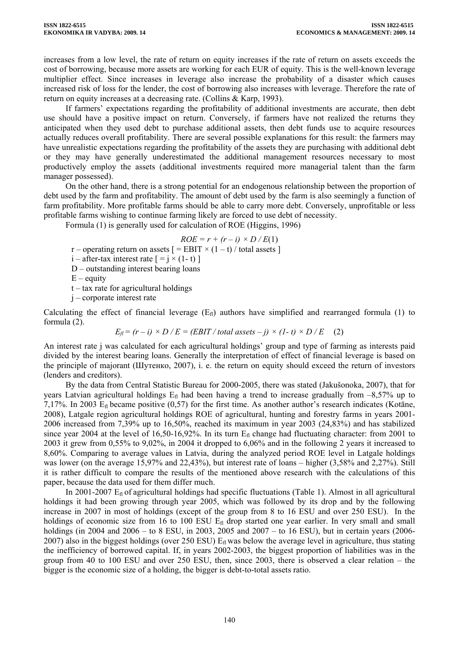increases from a low level, the rate of return on equity increases if the rate of return on assets exceeds the cost of borrowing, because more assets are working for each EUR of equity. This is the well-known leverage multiplier effect. Since increases in leverage also increase the probability of a disaster which causes increased risk of loss for the lender, the cost of borrowing also increases with leverage. Therefore the rate of return on equity increases at a decreasing rate. (Collins & Karp, 1993).

If farmers' expectations regarding the profitability of additional investments are accurate, then debt use should have a positive impact on return. Conversely, if farmers have not realized the returns they anticipated when they used debt to purchase additional assets, then debt funds use to acquire resources actually reduces overall profitability. There are several possible explanations for this result: the farmers may have unrealistic expectations regarding the profitability of the assets they are purchasing with additional debt or they may have generally underestimated the additional management resources necessary to most productively employ the assets (additional investments required more managerial talent than the farm manager possessed).

On the other hand, there is a strong potential for an endogenous relationship between the proportion of debt used by the farm and profitability. The amount of debt used by the farm is also seemingly a function of farm profitability. More profitable farms should be able to carry more debt. Conversely, unprofitable or less profitable farms wishing to continue farming likely are forced to use debt of necessity.

Formula (1) is generally used for calculation of ROE (Higgins, 1996)

$$
ROE = r + (r - i) \times D / E(1)
$$

r – operating return on assets  $[=EBIT \times (1-t) / total$  assets ]

 $i$  – after-tax interest rate  $i = i \times (1 - t)$ 

D – outstanding interest bearing loans

 $E$  – equity

 $t - tax$  rate for agricultural holdings

j – corporate interest rate

Calculating the effect of financial leverage  $(E<sub>f</sub>)$  authors have simplified and rearranged formula (1) to formula (2).

 $E_f = (r - i) \times D / E = (EBIT / total \; assets - j) \times (1 - i) \times D / E$  (2)

An interest rate j was calculated for each agricultural holdings' group and type of farming as interests paid divided by the interest bearing loans. Generally the interpretation of effect of financial leverage is based on the principle of majorant (Шутенко, 2007), i. e. the return on equity should exceed the return of investors (lenders and creditors).

By the data from Central Statistic Bureau for 2000-2005, there was stated (Jakušonoka, 2007), that for years Latvian agricultural holdings  $E_f$  had been having a trend to increase gradually from  $-8,57\%$  up to 7,17%. In 2003  $E_{\rm fl}$  became positive (0,57) for the first time. As another author's research indicates (Kotāne, 2008), Latgale region agricultural holdings ROE of agricultural, hunting and forestry farms in years 2001- 2006 increased from 7,39% up to 16,50%, reached its maximum in year 2003 (24,83%) and has stabilized since year 2004 at the level of 16,50-16,92%. In its turn  $E<sub>fl</sub>$  change had fluctuating character: from 2001 to 2003 it grew from 0,55% to 9,02%, in 2004 it dropped to 6,06% and in the following 2 years it increased to 8,60%. Comparing to average values in Latvia, during the analyzed period ROE level in Latgale holdings was lower (on the average 15,97% and 22,43%), but interest rate of loans – higher (3,58% and 2,27%). Still it is rather difficult to compare the results of the mentioned above research with the calculations of this paper, because the data used for them differ much.

In 2001-2007  $E_{\rm fl}$  of agricultural holdings had specific fluctuations (Table 1). Almost in all agricultural holdings it had been growing through year 2005, which was followed by its drop and by the following increase in 2007 in most of holdings (except of the group from 8 to 16 ESU and over 250 ESU). In the holdings of economic size from 16 to 100 ESU  $E<sub>fl</sub>$  drop started one year earlier. In very small and small holdings (in 2004 and 2006 – to 8 ESU, in 2003, 2005 and 2007 – to 16 ESU), but in certain years (2006-2007) also in the biggest holdings (over 250 ESU)  $E_f$  was below the average level in agriculture, thus stating the inefficiency of borrowed capital. If, in years 2002-2003, the biggest proportion of liabilities was in the group from 40 to 100 ESU and over 250 ESU, then, since 2003, there is observed a clear relation – the bigger is the economic size of a holding, the bigger is debt-to-total assets ratio.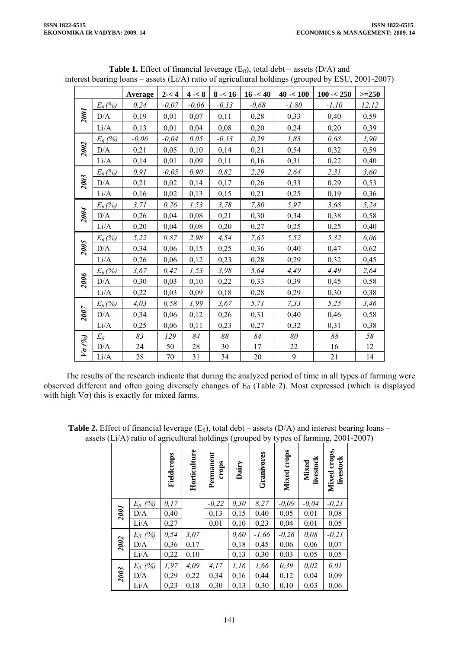|               |                     | Average | $2 - < 4$ | $4 - 8$ | $8 - 16$ | $16 - 40$ | $40 - 100$       | $100 - 250$ | $>=250$ |
|---------------|---------------------|---------|-----------|---------|----------|-----------|------------------|-------------|---------|
|               | $E_{\text{fl}}(\%)$ | 0,24    | $-0.07$   | $-0,06$ | $-0,13$  | $-0,68$   | $-1,80$          | $-1,10$     | 12,12   |
| <b>1007</b>   | D/A                 | 0,19    | 0,01      | 0,07    | 0,11     | 0,28      | 0,33             | 0,40        | 0,59    |
|               | Li/A                | 0,13    | 0,01      | 0,04    | 0,08     | 0,20      | 0,24             | 0,20        | 0,39    |
| 2002          | $E_{fl}$ (%)        | $-0,06$ | $-0.04$   | 0,05    | $-0,13$  | 0,29      | 1,83             | 0,68        | 1,90    |
|               | D/A                 | 0,21    | 0,05      | 0,10    | 0,14     | 0,21      | 0,54             | 0,32        | 0,59    |
|               | Li/A                | 0,14    | 0,01      | 0,09    | 0,11     | 0,16      | 0,31             | 0,22        | 0,40    |
|               | $E_n$ (%)           | 0, 91   | $-0.05$   | 0,90    | 0,82     | 2,29      | 2,64             | 2,31        | 3,60    |
| 2003          | D/A                 | 0,21    | 0,02      | 0,14    | 0,17     | 0,26      | 0,33             | 0,29        | 0,53    |
|               | Li/A                | 0,16    | 0,02      | 0,13    | 0,15     | 0,21      | 0,25             | 0,19        | 0,36    |
| 2004          | $E_{fl}$ (%)        | 3, 71   | 0,26      | 1,53    | 3,78     | 7,80      | 5,97             | 3,68        | 5,24    |
|               | D/A                 | 0,26    | 0,04      | 0,08    | 0,21     | 0,30      | 0,34             | 0,38        | 0,58    |
|               | Li/A                | 0,20    | 0,04      | 0,08    | 0,20     | 0,27      | 0,25             | 0,25        | 0,40    |
|               | $E_{\text{fl}}(\%)$ | 5,22    | 0,87      | 2,98    | 4,54     | 7,65      | 5,52             | 5,32        | 6,06    |
| 2005          | D/A                 | 0,34    | 0,06      | 0,15    | 0,25     | 0,36      | 0,40             | 0,47        | 0,62    |
|               | Li/A                | 0,26    | 0,06      | 0,12    | 0,23     | 0,28      | 0,29             | 0,32        | 0,45    |
|               | $E_{fl}$ (%)        | 3,67    | 0,42      | 1,53    | 3,98     | 5,64      | 4,49             | 4,49        | 2,64    |
| 2006          | D/A                 | 0,30    | 0,03      | 0,10    | 0,22     | 0,33      | 0,39             | 0,45        | 0,58    |
|               | $Li/A$              | 0,22    | 0,03      | 0,09    | 0,18     | 0,28      | 0,29             | 0,30        | 0,38    |
|               | $E_{\text{fl}}(\%)$ | 4,03    | 0,58      | 1,99    | 3,67     | 5, 71     | 7,33             | 5,25        | 3,46    |
| 2007          | D/A                 | 0,34    | 0,06      | 0,12    | 0,26     | 0,31      | 0,40             | 0,46        | 0,58    |
|               | Li/A                | 0,25    | 0,06      | 0,11    | 0,23     | 0,27      | 0,32             | 0,31        | 0,38    |
|               | $E_{\mathcal{H}}$   | 83      | 129       | 84      | 88       | 84        | 80               | 88          | 58      |
| $V\sigma$ (%) | D/A                 | 24      | 50        | 28      | 30       | 17        | 22               | 16          | 12      |
|               | Li/A                | 28      | 70        | 31      | 34       | 20        | $\boldsymbol{9}$ | 21          | 14      |

**Table 1.** Effect of financial leverage  $(E<sub>f</sub>)$ , total debt – assets  $(D/A)$  and interest bearing loans – assets (Li/A) ratio of agricultural holdings (grouped by ESU, 2001-2007)

The results of the research indicate that during the analyzed period of time in all types of farming were observed different and often going diversely changes of  $E<sub>fl</sub>$  (Table 2). Most expressed (which is displayed with high  $V\sigma$ ) this is exactly for mixed farms.

|      |                                 | Fieldcrops   | Horticulture | Permanent<br>crops | Dairy         | Granivores   | crops<br>Mixed  | livestock<br><b>Mixed</b> | crops,<br>livestock<br>Mixed |
|------|---------------------------------|--------------|--------------|--------------------|---------------|--------------|-----------------|---------------------------|------------------------------|
| 2001 | (%)<br>$E_{\mathcal{H}}$<br>D/A | 0,17<br>0,40 |              | $-0,22$<br>0,13    | 0, 30<br>0,15 | 8,27<br>0,40 | $-0.09$<br>0,05 | $-0.04$<br>0,01           | $-0, 21$<br>0,08             |
|      | Li/A                            | 0,27         |              | 0,01               | 0,10          | 0,23         | 0,04            | 0,01                      | 0,05                         |
|      | $E_{fl}$ (%)                    | 0,54         | 3,07         |                    | 0,60          | $-1,66$      | $-0,26$         | 0,08                      | $-0, 21$                     |
| 2002 | D/A                             | 0,36         | 0,17         |                    | 0,18          | 0,45         | 0,06            | 0,06                      | 0,07                         |
|      | Li/A                            | 0,22         | 0,10         |                    | 0,13          | 0,30         | 0,03            | 0,05                      | 0,05                         |
| 2003 | $E_{fl}$ (%)                    | 1,97         | 4,09         | 4,17               | 1,16          | 1,66         | 0,39            | 0,02                      | 0,01                         |
|      | D/A                             | 0,29         | 0,22         | 0,34               | 0,16          | 0,44         | 0,12            | 0,04                      | 0,09                         |
|      | Li/A                            | 0,23         | 0,18         | 0,30               | 0,13          | 0,30         | 0,10            | 0,03                      | 0,06                         |

**Table 2.** Effect of financial leverage  $(E_n)$ , total debt – assets  $(D/A)$  and interest bearing loans – assets (Li/A) ratio of agricultural holdings (grouped by types of farming, 2001-2007)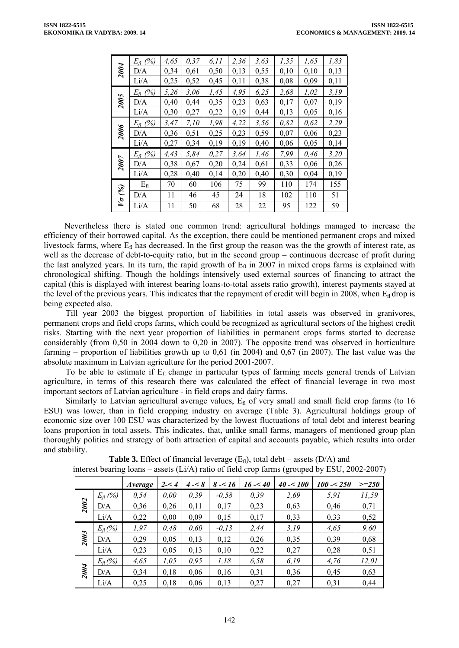|               | $E_{\text{fl}}$ (%) | 4,65 | 0,37 | 6, 11 | 2,36 | 3,63 | 1,35 | 1,65 | 1,83 |
|---------------|---------------------|------|------|-------|------|------|------|------|------|
| 2004          | D/A                 | 0,34 | 0,61 | 0,50  | 0,13 | 0,55 | 0,10 | 0,10 | 0,13 |
|               | Li/A                | 0,25 | 0,52 | 0,45  | 0,11 | 0,38 | 0,08 | 0,09 | 0,11 |
| 2005          | $E_{\text{fl}}$ (%) | 5,26 | 3,06 | 1,45  | 4,95 | 6,25 | 2,68 | 1,02 | 3,19 |
|               | D/A                 | 0,40 | 0,44 | 0,35  | 0,23 | 0,63 | 0,17 | 0,07 | 0,19 |
|               | Li/A                | 0,30 | 0,27 | 0,22  | 0,19 | 0,44 | 0,13 | 0,05 | 0,16 |
|               | $E_{\text{fl}}$ (%) | 3,47 | 7,10 | 1,98  | 4,22 | 3,56 | 0,82 | 0,62 | 2,29 |
| 2006          | D/A                 | 0,36 | 0,51 | 0,25  | 0,23 | 0,59 | 0,07 | 0,06 | 0,23 |
|               | Li/A                | 0,27 | 0,34 | 0,19  | 0,19 | 0,40 | 0,06 | 0,05 | 0,14 |
|               | $E_{\text{fl}}$ (%) | 4,43 | 5,84 | 0,27  | 3,64 | 1,46 | 7,99 | 0,46 | 3,20 |
| 2007          | D/A                 | 0,38 | 0,67 | 0,20  | 0,24 | 0,61 | 0,33 | 0,06 | 0,26 |
|               | Li/A                | 0,28 | 0,40 | 0,14  | 0,20 | 0,40 | 0,30 | 0,04 | 0,19 |
|               | $E_{fl}$            | 70   | 60   | 106   | 75   | 99   | 110  | 174  | 155  |
| $V\sigma$ (%) | D/A                 | 11   | 46   | 45    | 24   | 18   | 102  | 110  | 51   |
|               | Li/A                | 11   | 50   | 68    | 28   | 22   | 95   | 122  | 59   |

Nevertheless there is stated one common trend: agricultural holdings managed to increase the efficiency of their borrowed capital. As the exception, there could be mentioned permanent crops and mixed livestock farms, where  $E_f$  has decreased. In the first group the reason was the the growth of interest rate, as well as the decrease of debt-to-equity ratio, but in the second group – continuous decrease of profit during the last analyzed years. In its turn, the rapid growth of  $E<sub>fl</sub>$  in 2007 in mixed crops farms is explained with chronological shifting. Though the holdings intensively used external sources of financing to attract the capital (this is displayed with interest bearing loans-to-total assets ratio growth), interest payments stayed at the level of the previous years. This indicates that the repayment of credit will begin in 2008, when  $E_0$  drop is being expected also.

Till year 2003 the biggest proportion of liabilities in total assets was observed in granivores, permanent crops and field crops farms, which could be recognized as agricultural sectors of the highest credit risks. Starting with the next year proportion of liabilities in permanent crops farms started to decrease considerably (from 0,50 in 2004 down to 0,20 in 2007). The opposite trend was observed in horticulture farming – proportion of liabilities growth up to 0,61 (in 2004) and 0,67 (in 2007). The last value was the absolute maximum in Latvian agriculture for the period 2001-2007.

To be able to estimate if  $E_{fl}$  change in particular types of farming meets general trends of Latvian agriculture, in terms of this research there was calculated the effect of financial leverage in two most important sectors of Latvian agriculture - in field crops and dairy farms.

Similarly to Latvian agricultural average values,  $E_{\text{fl}}$  of very small and small field crop farms (to 16 ESU) was lower, than in field cropping industry on average (Table 3). Agricultural holdings group of economic size over 100 ESU was characterized by the lowest fluctuations of total debt and interest bearing loans proportion in total assets. This indicates, that, unlike small farms, managers of mentioned group plan thoroughly politics and strategy of both attraction of capital and accounts payable, which results into order and stability.

| ╰    |                     |         |         |         |          |           |            |             |         |  |
|------|---------------------|---------|---------|---------|----------|-----------|------------|-------------|---------|--|
|      |                     | Average | $2 - 4$ | $4 - 8$ | $8 - 16$ | $16 - 40$ | $40 - 100$ | $100 - 250$ | $>=250$ |  |
| 2002 | $E_{fl}$ (%)        | 0,54    | 0,00    | 0,39    | $-0,58$  | 0,39      | 2,69       | 5,91        | 11,59   |  |
|      | D/A                 | 0,36    | 0,26    | 0,11    | 0,17     | 0,23      | 0,63       | 0,46        | 0,71    |  |
|      | Li/A                | 0,22    | 0,00    | 0,09    | 0,15     | 0,17      | 0,33       | 0,33        | 0,52    |  |
| 2003 | $E_{\text{fl}}(\%)$ | 1,97    | 0,48    | 0,60    | $-0,13$  | 2,44      | 3,19       | 4,65        | 9,60    |  |
|      | D/A                 | 0,29    | 0,05    | 0,13    | 0,12     | 0,26      | 0,35       | 0,39        | 0,68    |  |
|      | Li/A                | 0,23    | 0,05    | 0,13    | 0,10     | 0,22      | 0,27       | 0,28        | 0,51    |  |
| 2004 | $E_{\text{fl}}(\%)$ | 4,65    | 1,05    | 0,95    | 1,18     | 6,58      | 6,19       | 4,76        | 12,01   |  |
|      | D/A                 | 0,34    | 0,18    | 0,06    | 0,16     | 0,31      | 0,36       | 0,45        | 0,63    |  |
|      | Li/A                | 0,25    | 0,18    | 0,06    | 0,13     | 0,27      | 0,27       | 0,31        | 0,44    |  |

**Table 3.** Effect of financial leverage  $(E<sub>f</sub>)$ , total debt – assets  $(D/A)$  and interest bearing loans – assets (Li/A) ratio of field crop farms (grouped by ESU, 2002-2007)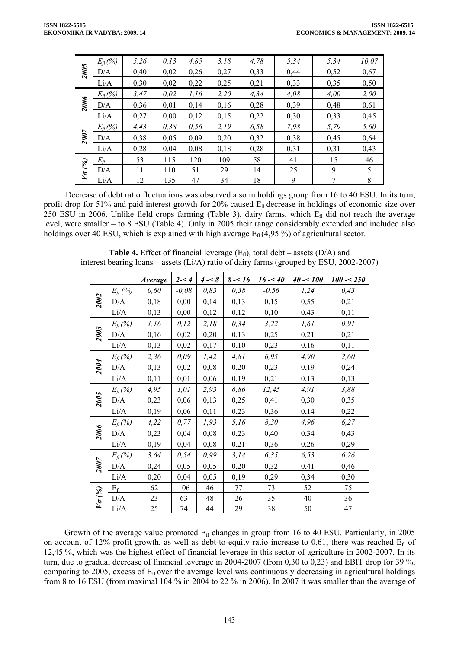|                          | $E_n$ (%)           | 5,26 | 0, 13 | 4,85 | 3,18 | 4,78 | 5,34 | 5,34 | 10,07 |
|--------------------------|---------------------|------|-------|------|------|------|------|------|-------|
| 2005                     | D/A                 | 0,40 | 0,02  | 0,26 | 0,27 | 0,33 | 0,44 | 0,52 | 0,67  |
|                          | Li/A                | 0,30 | 0,02  | 0,22 | 0,25 | 0,21 | 0,33 | 0,35 | 0,50  |
|                          | $E_{\text{fl}}(\%)$ | 3,47 | 0,02  | 1,16 | 2,20 | 4,34 | 4,08 | 4,00 | 2,00  |
| 2006                     | D/A                 | 0,36 | 0,01  | 0,14 | 0,16 | 0,28 | 0,39 | 0,48 | 0,61  |
|                          | Li/A                | 0,27 | 0,00  | 0,12 | 0,15 | 0,22 | 0,30 | 0,33 | 0,45  |
|                          | $E_{fl}$ (%)        | 4,43 | 0,38  | 0,56 | 2,19 | 6,58 | 7,98 | 5,79 | 5,60  |
| 2007                     | D/A                 | 0,38 | 0,05  | 0,09 | 0,20 | 0,32 | 0,38 | 0,45 | 0,64  |
|                          | Li/A                | 0,28 | 0,04  | 0,08 | 0,18 | 0,28 | 0,31 | 0,31 | 0,43  |
|                          | $E_{\mathcal{H}}$   | 53   | 115   | 120  | 109  | 58   | 41   | 15   | 46    |
| $\mathscr{C}_{\!\!\ell}$ | D/A                 | 11   | 110   | 51   | 29   | 14   | 25   | 9    | 5     |
| $\overline{V}$           | Li/A                | 12   | 135   | 47   | 34   | 18   | 9    | 7    | 8     |

Decrease of debt ratio fluctuations was observed also in holdings group from 16 to 40 ESU. In its turn, profit drop for 51% and paid interest growth for 20% caused  $E<sub>f</sub>$  decrease in holdings of economic size over 250 ESU in 2006. Unlike field crops farming (Table 3), dairy farms, which  $E<sub>f</sub>$  did not reach the average level, were smaller – to 8 ESU (Table 4). Only in 2005 their range considerably extended and included also holdings over 40 ESU, which is explained with high average  $E_{fl}$  (4,95 %) of agricultural sector.

|               |                     | <i>Average</i> | $2 - 4$ | $4 - 8$ | $8 - 16$ | $16 - 40$ | $40 - 100$ | $100 - 250$ |
|---------------|---------------------|----------------|---------|---------|----------|-----------|------------|-------------|
|               | $E_{\rm fl}$ (%)    | 0,60           | $-0.08$ | 0,83    | 0,38     | $-0,56$   | 1,24       | 0,43        |
| 2002          | D/A                 | 0,18           | 0,00    | 0,14    | 0,13     | 0,15      | 0,55       | 0,21        |
|               | Li/A                | 0,13           | 0,00    | 0,12    | 0,12     | 0,10      | 0,43       | 0,11        |
| 2003          | $E_{\text{fl}}(\%)$ | 1,16           | 0,12    | 2,18    | 0,34     | 3,22      | 1,61       | 0, 91       |
|               | D/A                 | 0,16           | 0,02    | 0,20    | 0,13     | 0,25      | 0,21       | 0,21        |
|               | Li/A                | 0,13           | 0,02    | 0,17    | 0,10     | 0,23      | 0,16       | 0,11        |
|               | $E_{\rm fl}$ (%)    | 2,36           | 0,09    | 1,42    | 4,81     | 6,95      | 4,90       | 2,60        |
| 2004          | D/A                 | 0,13           | 0,02    | 0,08    | 0,20     | 0,23      | 0,19       | 0,24        |
|               | Li/A                | 0,11           | 0,01    | 0,06    | 0,19     | 0,21      | 0,13       | 0,13        |
|               | $E_{\text{fl}}(\%)$ | 4,95           | 1,01    | 2,93    | 6,86     | 12,45     | 4,91       | 3,88        |
| 2005          | D/A                 | 0,23           | 0,06    | 0,13    | 0,25     | 0,41      | 0,30       | 0,35        |
|               | Li/A                | 0,19           | 0,06    | 0,11    | 0,23     | 0,36      | 0,14       | 0,22        |
|               | $E_{\text{fl}}(\%)$ | 4,22           | 0,77    | 1,93    | 5,16     | 8,30      | 4,96       | 6,27        |
| 2006          | D/A                 | 0,23           | 0,04    | 0,08    | 0,23     | 0,40      | 0,34       | 0,43        |
|               | Li/A                | 0,19           | 0,04    | 0,08    | 0,21     | 0,36      | 0,26       | 0,29        |
|               | $E_{\rm fl}$ (%)    | 3,64           | 0,54    | 0,99    | 3,14     | 6,35      | 6,53       | 6,26        |
| 2007          | D/A                 | 0,24           | 0,05    | 0,05    | 0,20     | 0,32      | 0,41       | 0,46        |
|               | Li/A                | 0,20           | 0,04    | 0,05    | 0,19     | 0,29      | 0,34       | 0,30        |
|               | $E_{fl}$            | 62             | 106     | 46      | 77       | 73        | 52         | 75          |
| $V\sigma$ (%) | D/A                 | 23             | 63      | 48      | 26       | 35        | 40         | 36          |
|               | Li/A                | 25             | 74      | 44      | 29       | 38        | 50         | 47          |

**Table 4.** Effect of financial leverage  $(E_n)$ , total debt – assets  $(D/A)$  and interest bearing loans – assets (Li/A) ratio of dairy farms (grouped by ESU, 2002-2007)

Growth of the average value promoted  $E_{fl}$  changes in group from 16 to 40 ESU. Particularly, in 2005 on account of 12% profit growth, as well as debt-to-equity ratio increase to 0,61, there was reached  $E<sub>f</sub>$  of 12,45 %, which was the highest effect of financial leverage in this sector of agriculture in 2002-2007. In its turn, due to gradual decrease of financial leverage in 2004-2007 (from 0,30 to 0,23) and EBIT drop for 39 %, comparing to 2005, excess of  $E<sub>f</sub>$  over the average level was continuously decreasing in agricultural holdings from 8 to 16 ESU (from maximal 104 % in 2004 to 22 % in 2006). In 2007 it was smaller than the average of